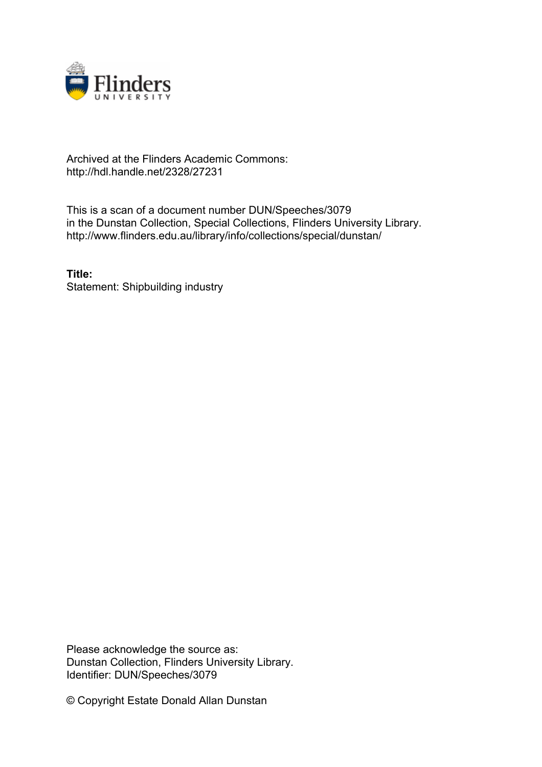

## Archived at the Flinders Academic Commons: http://hdl.handle.net/2328/27231

This is a scan of a document number DUN/Speeches/3079 in the Dunstan Collection, Special Collections, Flinders University Library. http://www.flinders.edu.au/library/info/collections/special/dunstan/

**Title:** Statement: Shipbuilding industry

Please acknowledge the source as: Dunstan Collection, Flinders University Library. Identifier: DUN/Speeches/3079

© Copyright Estate Donald Allan Dunstan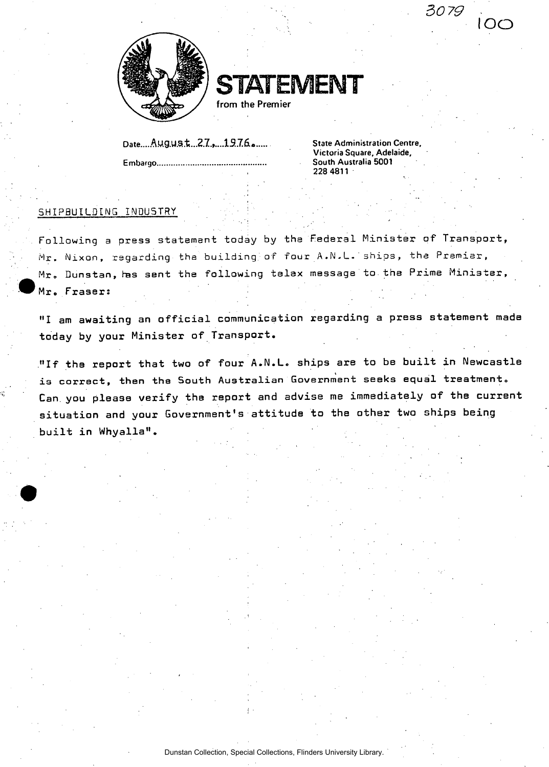



**from the Premier** 

**Date.....A.U.g.U.5.t...2.7.,....13.76.» State Administration Centre, Embargo South Australia 5001** 

**Victoria Square, Adelaide, 228 4811** 

*30 79* .

 $\Omega$   $\subset$ 

## **SHIPBUILDING INDUSTRY**

**Following a press statement today by ths Federal Minister of Transport, Mr. Nixon, regarding the building of four A.N-L. ships, the Premier, Mr, Dunstan, has sent the following telex message to the Prime Minister,**  Mr. Fraser:

**"I am awaiting an official communication regarding a press statement made today by your Minister of Transport.** 

**"If the report that two of four A.N.L. ships are to be built in Newcastle is correct, then the South Australian Government seeks equal treatment. Can.you please verify the report and advise me immediately of ths current situation and your Government's attitude to the other two ships being built in Whyalla".**